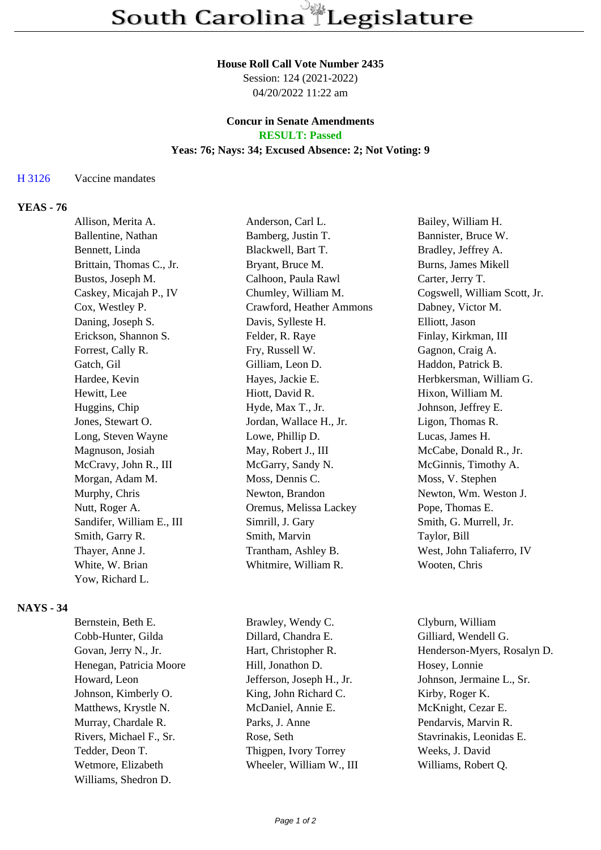#### **House Roll Call Vote Number 2435**

Session: 124 (2021-2022) 04/20/2022 11:22 am

### **Concur in Senate Amendments RESULT: Passed**

#### **Yeas: 76; Nays: 34; Excused Absence: 2; Not Voting: 9**

### H 3126 Vaccine mandates

# **YEAS - 76**

| Allison, Merita A.        | Anderson, Carl L.        | Bailey, William H.           |
|---------------------------|--------------------------|------------------------------|
| Ballentine, Nathan        | Bamberg, Justin T.       | Bannister, Bruce W.          |
| Bennett, Linda            | Blackwell, Bart T.       | Bradley, Jeffrey A.          |
| Brittain, Thomas C., Jr.  | Bryant, Bruce M.         | Burns, James Mikell          |
| Bustos, Joseph M.         | Calhoon, Paula Rawl      | Carter, Jerry T.             |
| Caskey, Micajah P., IV    | Chumley, William M.      | Cogswell, William Scott, Jr. |
| Cox, Westley P.           | Crawford, Heather Ammons | Dabney, Victor M.            |
| Daning, Joseph S.         | Davis, Sylleste H.       | Elliott, Jason               |
| Erickson, Shannon S.      | Felder, R. Raye          | Finlay, Kirkman, III         |
| Forrest, Cally R.         | Fry, Russell W.          | Gagnon, Craig A.             |
| Gatch, Gil                | Gilliam, Leon D.         | Haddon, Patrick B.           |
| Hardee, Kevin             | Hayes, Jackie E.         | Herbkersman, William G.      |
| Hewitt, Lee               | Hiott, David R.          | Hixon, William M.            |
| Huggins, Chip             | Hyde, Max T., Jr.        | Johnson, Jeffrey E.          |
| Jones, Stewart O.         | Jordan, Wallace H., Jr.  | Ligon, Thomas R.             |
| Long, Steven Wayne        | Lowe, Phillip D.         | Lucas, James H.              |
| Magnuson, Josiah          | May, Robert J., III      | McCabe, Donald R., Jr.       |
| McCravy, John R., III     | McGarry, Sandy N.        | McGinnis, Timothy A.         |
| Morgan, Adam M.           | Moss, Dennis C.          | Moss, V. Stephen             |
| Murphy, Chris             | Newton, Brandon          | Newton, Wm. Weston J.        |
| Nutt, Roger A.            | Oremus, Melissa Lackey   | Pope, Thomas E.              |
| Sandifer, William E., III | Simrill, J. Gary         | Smith, G. Murrell, Jr.       |
| Smith, Garry R.           | Smith, Marvin            | Taylor, Bill                 |
| Thayer, Anne J.           | Trantham, Ashley B.      | West, John Taliaferro, IV    |
| White, W. Brian           | Whitmire, William R.     | Wooten, Chris                |
| Yow, Richard L.           |                          |                              |
|                           |                          |                              |

## **NAYS - 34**

| Brawley, Wendy C.         | Clyburn, William            |
|---------------------------|-----------------------------|
| Dillard, Chandra E.       | Gilliard, Wendell G.        |
| Hart, Christopher R.      | Henderson-Myers, Rosalyn D. |
| Hill, Jonathon D.         | Hosey, Lonnie               |
| Jefferson, Joseph H., Jr. | Johnson, Jermaine L., Sr.   |
| King, John Richard C.     | Kirby, Roger K.             |
| McDaniel, Annie E.        | McKnight, Cezar E.          |
| Parks, J. Anne            | Pendarvis, Marvin R.        |
| Rose, Seth                | Stavrinakis, Leonidas E.    |
| Thigpen, Ivory Torrey     | Weeks, J. David             |
| Wheeler, William W., III  | Williams, Robert Q.         |
|                           |                             |
|                           |                             |